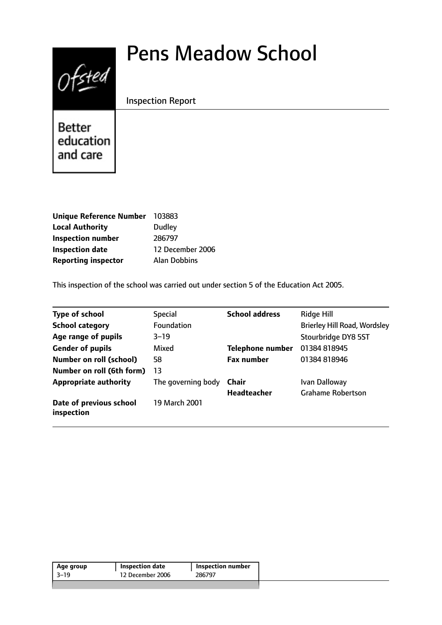# Pens Meadow School



Inspection Report

Better education and care

| <b>Unique Reference Number</b> | 103883              |
|--------------------------------|---------------------|
| <b>Local Authority</b>         | Dudley              |
| <b>Inspection number</b>       | 286797              |
| <b>Inspection date</b>         | 12 December 2006    |
| <b>Reporting inspector</b>     | <b>Alan Dobbins</b> |

This inspection of the school was carried out under section 5 of the Education Act 2005.

| <b>Type of school</b>                 | <b>Special</b>     | <b>School address</b>   | <b>Ridge Hill</b>                   |
|---------------------------------------|--------------------|-------------------------|-------------------------------------|
| <b>School category</b>                | <b>Foundation</b>  |                         | <b>Brierley Hill Road, Wordsley</b> |
| Age range of pupils                   | $3 - 19$           |                         | Stourbridge DY8 5ST                 |
| <b>Gender of pupils</b>               | Mixed              | <b>Telephone number</b> | 01384 818945                        |
| <b>Number on roll (school)</b>        | 58                 | <b>Fax number</b>       | 01384 818946                        |
| Number on roll (6th form)             | 13                 |                         |                                     |
| <b>Appropriate authority</b>          | The governing body | Chair                   | Ivan Dalloway                       |
|                                       |                    | <b>Headteacher</b>      | <b>Grahame Robertson</b>            |
| Date of previous school<br>inspection | 19 March 2001      |                         |                                     |

| 12 December 2006<br>286797<br>$3 - 19$ | Inspection number | Inspection date | Age group |
|----------------------------------------|-------------------|-----------------|-----------|
|                                        |                   |                 |           |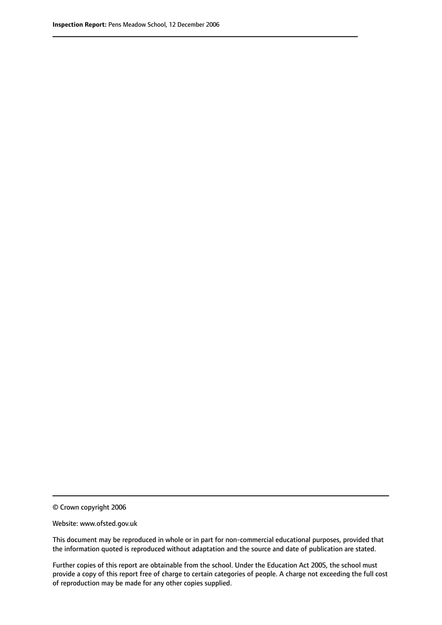© Crown copyright 2006

Website: www.ofsted.gov.uk

This document may be reproduced in whole or in part for non-commercial educational purposes, provided that the information quoted is reproduced without adaptation and the source and date of publication are stated.

Further copies of this report are obtainable from the school. Under the Education Act 2005, the school must provide a copy of this report free of charge to certain categories of people. A charge not exceeding the full cost of reproduction may be made for any other copies supplied.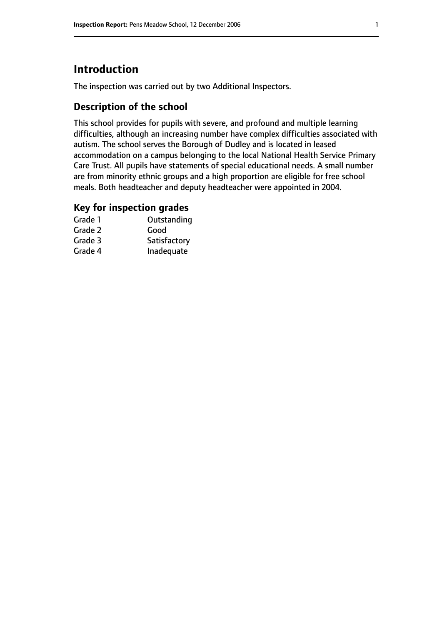# **Introduction**

The inspection was carried out by two Additional Inspectors.

## **Description of the school**

This school provides for pupils with severe, and profound and multiple learning difficulties, although an increasing number have complex difficulties associated with autism. The school serves the Borough of Dudley and is located in leased accommodation on a campus belonging to the local National Health Service Primary Care Trust. All pupils have statements of special educational needs. A small number are from minority ethnic groups and a high proportion are eligible for free school meals. Both headteacher and deputy headteacher were appointed in 2004.

## **Key for inspection grades**

| Grade 1 | Outstanding  |
|---------|--------------|
| Grade 2 | Good         |
| Grade 3 | Satisfactory |
| Grade 4 | Inadequate   |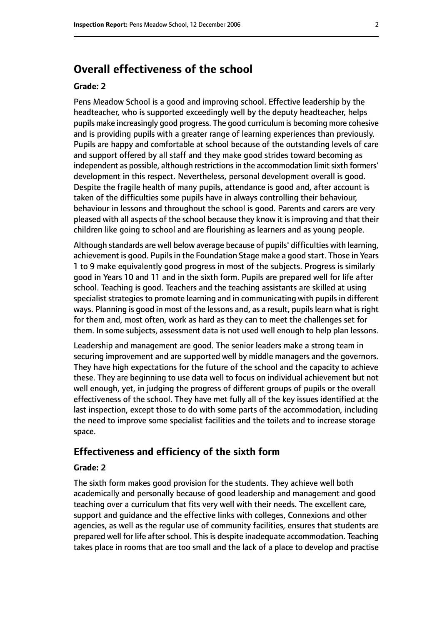# **Overall effectiveness of the school**

#### **Grade: 2**

Pens Meadow School is a good and improving school. Effective leadership by the headteacher, who is supported exceedingly well by the deputy headteacher, helps pupils make increasingly good progress. The good curriculum is becoming more cohesive and is providing pupils with a greater range of learning experiences than previously. Pupils are happy and comfortable at school because of the outstanding levels of care and support offered by all staff and they make good strides toward becoming as independent as possible, although restrictions in the accommodation limit sixth formers' development in this respect. Nevertheless, personal development overall is good. Despite the fragile health of many pupils, attendance is good and, after account is taken of the difficulties some pupils have in always controlling their behaviour, behaviour in lessons and throughout the school is good. Parents and carers are very pleased with all aspects of the school because they know it is improving and that their children like going to school and are flourishing as learners and as young people.

Although standards are well below average because of pupils' difficulties with learning, achievement is good. Pupils in the Foundation Stage make a good start. Those in Years 1 to 9 make equivalently good progress in most of the subjects. Progress is similarly good in Years 10 and 11 and in the sixth form. Pupils are prepared well for life after school. Teaching is good. Teachers and the teaching assistants are skilled at using specialist strategies to promote learning and in communicating with pupils in different ways. Planning is good in most of the lessons and, as a result, pupils learn what is right for them and, most often, work as hard as they can to meet the challenges set for them. In some subjects, assessment data is not used well enough to help plan lessons.

Leadership and management are good. The senior leaders make a strong team in securing improvement and are supported well by middle managers and the governors. They have high expectations for the future of the school and the capacity to achieve these. They are beginning to use data well to focus on individual achievement but not well enough, yet, in judging the progress of different groups of pupils or the overall effectiveness of the school. They have met fully all of the key issues identified at the last inspection, except those to do with some parts of the accommodation, including the need to improve some specialist facilities and the toilets and to increase storage space.

#### **Effectiveness and efficiency of the sixth form**

#### **Grade: 2**

The sixth form makes good provision for the students. They achieve well both academically and personally because of good leadership and management and good teaching over a curriculum that fits very well with their needs. The excellent care, support and guidance and the effective links with colleges, Connexions and other agencies, as well as the regular use of community facilities, ensures that students are prepared well for life after school. This is despite inadequate accommodation. Teaching takes place in rooms that are too small and the lack of a place to develop and practise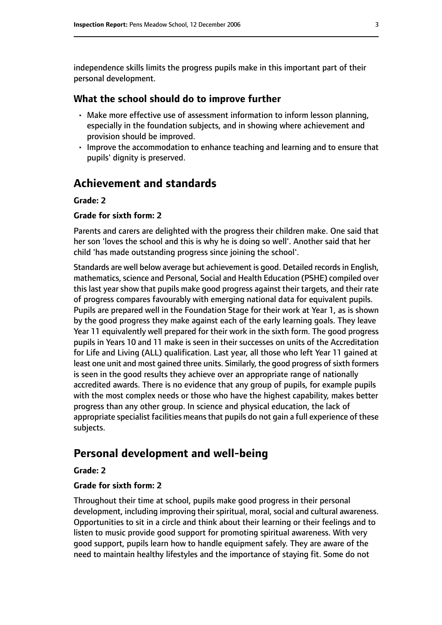independence skills limits the progress pupils make in this important part of their personal development.

#### **What the school should do to improve further**

- Make more effective use of assessment information to inform lesson planning, especially in the foundation subjects, and in showing where achievement and provision should be improved.
- Improve the accommodation to enhance teaching and learning and to ensure that pupils' dignity is preserved.

## **Achievement and standards**

#### **Grade: 2**

#### **Grade for sixth form: 2**

Parents and carers are delighted with the progress their children make. One said that her son 'loves the school and this is why he is doing so well'. Another said that her child 'has made outstanding progress since joining the school'.

Standards are well below average but achievement is good. Detailed records in English, mathematics, science and Personal, Social and Health Education (PSHE) compiled over this last year show that pupils make good progress against their targets, and their rate of progress compares favourably with emerging national data for equivalent pupils. Pupils are prepared well in the Foundation Stage for their work at Year 1, as is shown by the good progress they make against each of the early learning goals. They leave Year 11 equivalently well prepared for their work in the sixth form. The good progress pupils in Years 10 and 11 make is seen in their successes on units of the Accreditation for Life and Living (ALL) qualification. Last year, all those who left Year 11 gained at least one unit and most gained three units. Similarly, the good progress of sixth formers is seen in the good results they achieve over an appropriate range of nationally accredited awards. There is no evidence that any group of pupils, for example pupils with the most complex needs or those who have the highest capability, makes better progress than any other group. In science and physical education, the lack of appropriate specialist facilities means that pupils do not gain a full experience of these subjects.

# **Personal development and well-being**

#### **Grade: 2**

#### **Grade for sixth form: 2**

Throughout their time at school, pupils make good progress in their personal development, including improving their spiritual, moral, social and cultural awareness. Opportunities to sit in a circle and think about their learning or their feelings and to listen to music provide good support for promoting spiritual awareness. With very good support, pupils learn how to handle equipment safely. They are aware of the need to maintain healthy lifestyles and the importance of staying fit. Some do not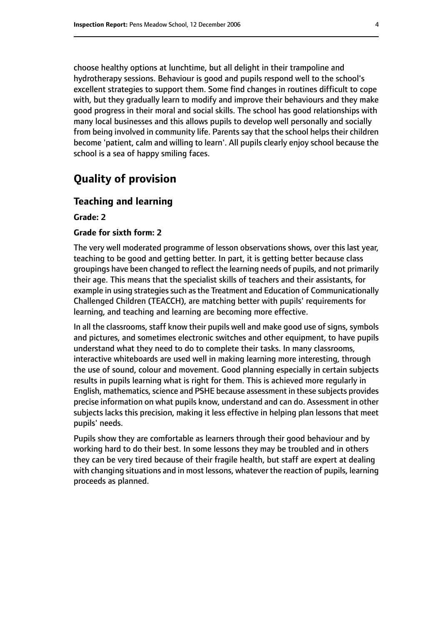choose healthy options at lunchtime, but all delight in their trampoline and hydrotherapy sessions. Behaviour is good and pupils respond well to the school's excellent strategies to support them. Some find changes in routines difficult to cope with, but they gradually learn to modify and improve their behaviours and they make good progress in their moral and social skills. The school has good relationships with many local businesses and this allows pupils to develop well personally and socially from being involved in community life. Parents say that the school helps their children become 'patient, calm and willing to learn'. All pupils clearly enjoy school because the school is a sea of happy smiling faces.

# **Quality of provision**

#### **Teaching and learning**

**Grade: 2**

#### **Grade for sixth form: 2**

The very well moderated programme of lesson observations shows, over this last year, teaching to be good and getting better. In part, it is getting better because class groupings have been changed to reflect the learning needs of pupils, and not primarily their age. This means that the specialist skills of teachers and their assistants, for example in using strategies such as the Treatment and Education of Communicationally Challenged Children (TEACCH), are matching better with pupils' requirements for learning, and teaching and learning are becoming more effective.

In all the classrooms, staff know their pupils well and make good use of signs, symbols and pictures, and sometimes electronic switches and other equipment, to have pupils understand what they need to do to complete their tasks. In many classrooms, interactive whiteboards are used well in making learning more interesting, through the use of sound, colour and movement. Good planning especially in certain subjects results in pupils learning what is right for them. This is achieved more regularly in English, mathematics, science and PSHE because assessment in these subjects provides precise information on what pupils know, understand and can do. Assessment in other subjects lacks this precision, making it less effective in helping plan lessons that meet pupils' needs.

Pupils show they are comfortable as learners through their good behaviour and by working hard to do their best. In some lessons they may be troubled and in others they can be very tired because of their fragile health, but staff are expert at dealing with changing situations and in most lessons, whatever the reaction of pupils, learning proceeds as planned.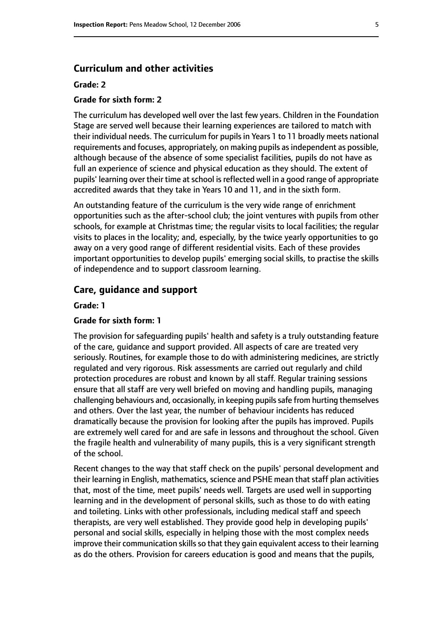#### **Curriculum and other activities**

#### **Grade: 2**

#### **Grade for sixth form: 2**

The curriculum has developed well over the last few years. Children in the Foundation Stage are served well because their learning experiences are tailored to match with their individual needs. The curriculum for pupils in Years 1 to 11 broadly meets national requirements and focuses, appropriately, on making pupils as independent as possible, although because of the absence of some specialist facilities, pupils do not have as full an experience of science and physical education as they should. The extent of pupils' learning over their time at school is reflected well in a good range of appropriate accredited awards that they take in Years 10 and 11, and in the sixth form.

An outstanding feature of the curriculum is the very wide range of enrichment opportunities such as the after-school club; the joint ventures with pupils from other schools, for example at Christmas time; the regular visits to local facilities; the regular visits to places in the locality; and, especially, by the twice yearly opportunities to go away on a very good range of different residential visits. Each of these provides important opportunities to develop pupils' emerging social skills, to practise the skills of independence and to support classroom learning.

#### **Care, guidance and support**

#### **Grade: 1**

#### **Grade for sixth form: 1**

The provision for safeguarding pupils' health and safety is a truly outstanding feature of the care, guidance and support provided. All aspects of care are treated very seriously. Routines, for example those to do with administering medicines, are strictly regulated and very rigorous. Risk assessments are carried out regularly and child protection procedures are robust and known by all staff. Regular training sessions ensure that all staff are very well briefed on moving and handling pupils, managing challenging behaviours and, occasionally, in keeping pupilssafe from hurting themselves and others. Over the last year, the number of behaviour incidents has reduced dramatically because the provision for looking after the pupils has improved. Pupils are extremely well cared for and are safe in lessons and throughout the school. Given the fragile health and vulnerability of many pupils, this is a very significant strength of the school.

Recent changes to the way that staff check on the pupils' personal development and their learning in English, mathematics, science and PSHE mean that staff plan activities that, most of the time, meet pupils' needs well. Targets are used well in supporting learning and in the development of personal skills, such as those to do with eating and toileting. Links with other professionals, including medical staff and speech therapists, are very well established. They provide good help in developing pupils' personal and social skills, especially in helping those with the most complex needs improve their communication skills so that they gain equivalent access to their learning as do the others. Provision for careers education is good and means that the pupils,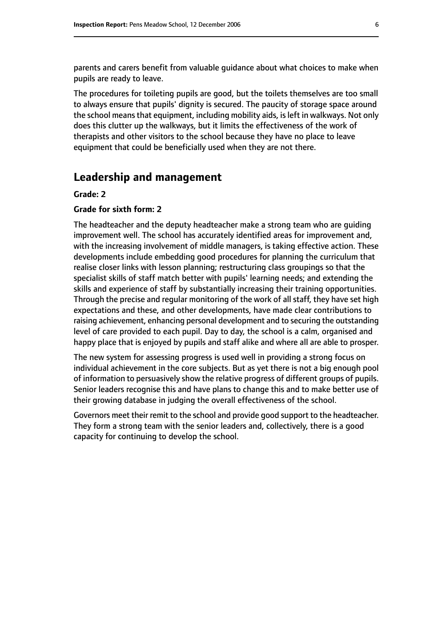parents and carers benefit from valuable guidance about what choices to make when pupils are ready to leave.

The procedures for toileting pupils are good, but the toilets themselves are too small to always ensure that pupils' dignity is secured. The paucity of storage space around the school means that equipment, including mobility aids, is left in walkways. Not only does this clutter up the walkways, but it limits the effectiveness of the work of therapists and other visitors to the school because they have no place to leave equipment that could be beneficially used when they are not there.

### **Leadership and management**

#### **Grade: 2**

#### **Grade for sixth form: 2**

The headteacher and the deputy headteacher make a strong team who are guiding improvement well. The school has accurately identified areas for improvement and, with the increasing involvement of middle managers, is taking effective action. These developments include embedding good procedures for planning the curriculum that realise closer links with lesson planning; restructuring class groupings so that the specialist skills of staff match better with pupils' learning needs; and extending the skills and experience of staff by substantially increasing their training opportunities. Through the precise and regular monitoring of the work of all staff, they have set high expectations and these, and other developments, have made clear contributions to raising achievement, enhancing personal development and to securing the outstanding level of care provided to each pupil. Day to day, the school is a calm, organised and happy place that is enjoyed by pupils and staff alike and where all are able to prosper.

The new system for assessing progress is used well in providing a strong focus on individual achievement in the core subjects. But as yet there is not a big enough pool of information to persuasively show the relative progress of different groups of pupils. Senior leaders recognise this and have plans to change this and to make better use of their growing database in judging the overall effectiveness of the school.

Governors meet their remit to the school and provide good support to the headteacher. They form a strong team with the senior leaders and, collectively, there is a good capacity for continuing to develop the school.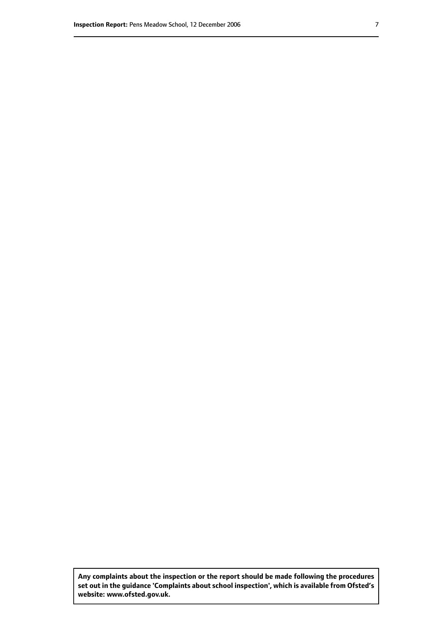**Any complaints about the inspection or the report should be made following the procedures set out inthe guidance 'Complaints about school inspection', whichis available from Ofsted's website: www.ofsted.gov.uk.**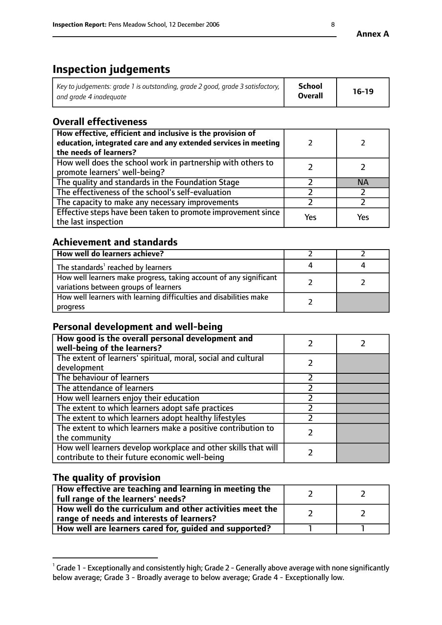# **Inspection judgements**

| Key to judgements: grade 1 is outstanding, grade 2 good, grade 3 satisfactory, 1 | <b>School</b>  | $16-19$ |
|----------------------------------------------------------------------------------|----------------|---------|
| and grade 4 inadeguate                                                           | <b>Overall</b> |         |

# **Overall effectiveness**

| How effective, efficient and inclusive is the provision of<br>education, integrated care and any extended services in meeting<br>the needs of learners? |     |     |
|---------------------------------------------------------------------------------------------------------------------------------------------------------|-----|-----|
| How well does the school work in partnership with others to<br>promote learners' well-being?                                                            |     |     |
| The quality and standards in the Foundation Stage                                                                                                       |     | ΝA  |
| The effectiveness of the school's self-evaluation                                                                                                       |     |     |
| The capacity to make any necessary improvements                                                                                                         |     |     |
| Effective steps have been taken to promote improvement since<br>the last inspection                                                                     | Yes | Yes |

# **Achievement and standards**

| How well do learners achieve?                                                                               |  |
|-------------------------------------------------------------------------------------------------------------|--|
| The standards <sup>1</sup> reached by learners                                                              |  |
| How well learners make progress, taking account of any significant<br>variations between groups of learners |  |
| How well learners with learning difficulties and disabilities make<br>progress                              |  |

## **Personal development and well-being**

| How good is the overall personal development and<br>well-being of the learners?                                  |  |
|------------------------------------------------------------------------------------------------------------------|--|
| The extent of learners' spiritual, moral, social and cultural<br>development                                     |  |
| The behaviour of learners                                                                                        |  |
| The attendance of learners                                                                                       |  |
| How well learners enjoy their education                                                                          |  |
| The extent to which learners adopt safe practices                                                                |  |
| The extent to which learners adopt healthy lifestyles                                                            |  |
| The extent to which learners make a positive contribution to<br>the community                                    |  |
| How well learners develop workplace and other skills that will<br>contribute to their future economic well-being |  |

# **The quality of provision**

| How effective are teaching and learning in meeting the<br>full range of the learners' needs?          |  |
|-------------------------------------------------------------------------------------------------------|--|
| How well do the curriculum and other activities meet the<br>range of needs and interests of learners? |  |
| How well are learners cared for, guided and supported?                                                |  |

 $^1$  Grade 1 - Exceptionally and consistently high; Grade 2 - Generally above average with none significantly below average; Grade 3 - Broadly average to below average; Grade 4 - Exceptionally low.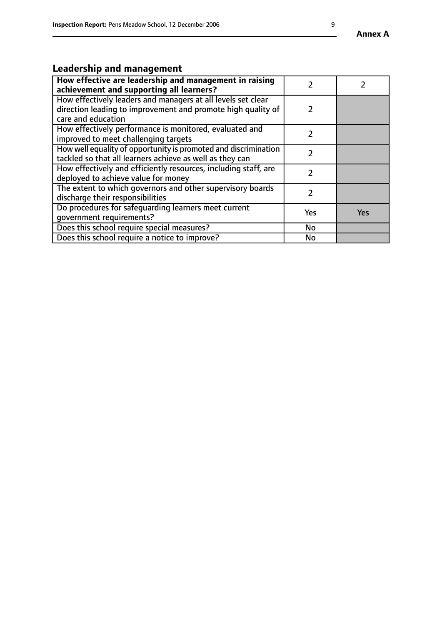# **Leadership and management**

| How effective are leadership and management in raising<br>achievement and supporting all learners?                                                 |     |     |
|----------------------------------------------------------------------------------------------------------------------------------------------------|-----|-----|
| How effectively leaders and managers at all levels set clear<br>direction leading to improvement and promote high quality of<br>care and education | 2   |     |
| How effectively performance is monitored, evaluated and<br>improved to meet challenging targets                                                    |     |     |
| How well equality of opportunity is promoted and discrimination<br>tackled so that all learners achieve as well as they can                        |     |     |
| How effectively and efficiently resources, including staff, are<br>deployed to achieve value for money                                             |     |     |
| The extent to which governors and other supervisory boards<br>discharge their responsibilities                                                     |     |     |
| Do procedures for safeguarding learners meet current<br>qovernment requirements?                                                                   | Yes | Yes |
| Does this school require special measures?                                                                                                         | No  |     |
| Does this school require a notice to improve?                                                                                                      | No  |     |

**Annex A**